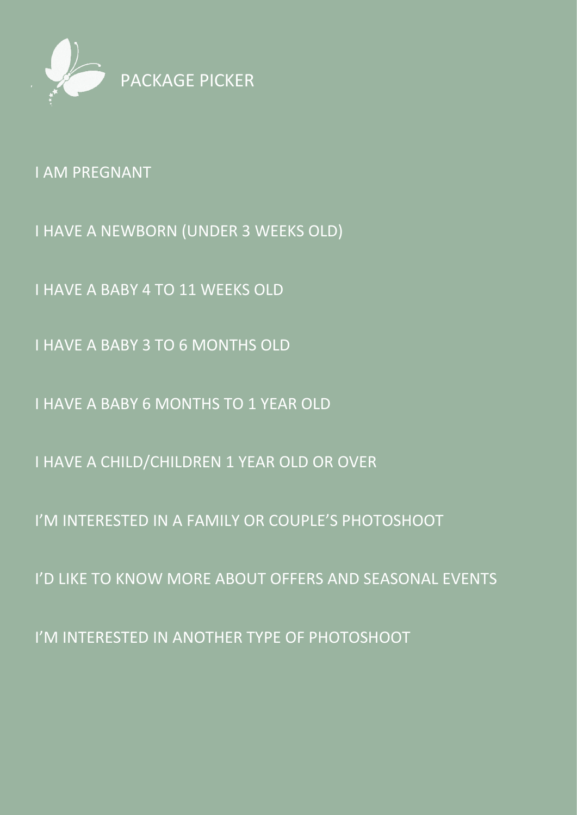

[I AM PREGNANT](#page-1-0)

[I HAVE A NEWBORN \(UNDER 3 WEEKS OLD\)](#page-2-0)

[I HAVE A BABY 4 TO 11 WEEKS OLD](#page-3-0)

[I HAVE A BABY 3 TO 6 MONTHS OLD](#page-4-0)

[I HAVE A BABY 6 MONTHS TO 1 YEAR OLD](#page-5-0)

[I HAVE A CHILD/CHILDREN 1 YEAR OLD OR OVER](#page-6-0)

[I'M INTERESTED IN A FAMILY OR COUPLE'S PHOTOSHOOT](#page-7-0)

[I'D LIKE TO KNOW MORE ABOUT OFFERS AND SEASONAL EVENTS](#page-8-0)

[I'M INTERESTED IN ANOTHER TYPE OF PHOTOSHOOT](#page-9-0)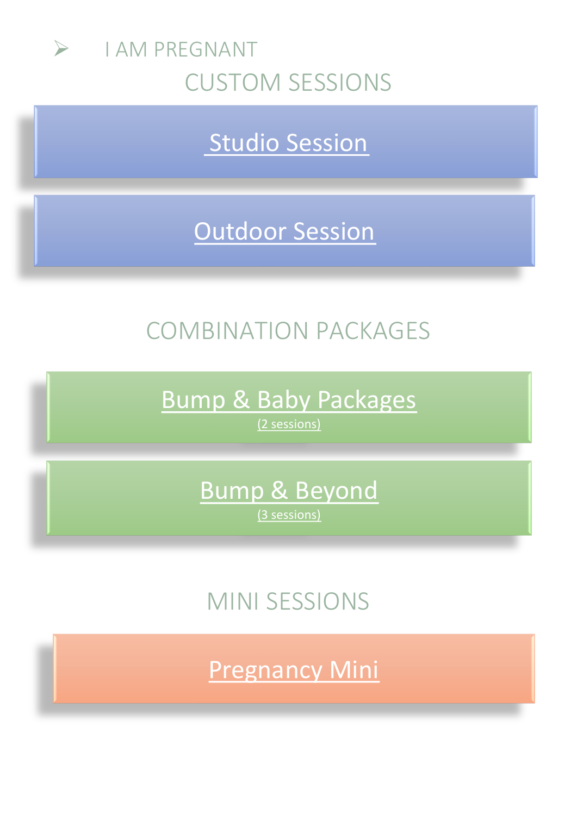<span id="page-1-0"></span>

[Studio Session](https://sarahleephotography.co.uk/studio-sessions.php)

# [Outdoor Session](https://sarahleephotography.co.uk/outdoor-sessions.php)

# COMBINATION PACKAGES

[Bump & Baby Packages](https://sarahleephotography.co.uk/Bump-and-Baby.php)  [\(2 sessions\)](https://sarahleephotography.co.uk/Bump-and-Baby.php)

> [Bump & Beyond](https://sarahleephotography.co.uk/babys-first-year.php) [\(3 sessions\)](https://sarahleephotography.co.uk/babys-first-year.php)

MINI SESSIONS

[Pregnancy Mini](https://sarahleephotography.co.uk/pregnancy-mini.php)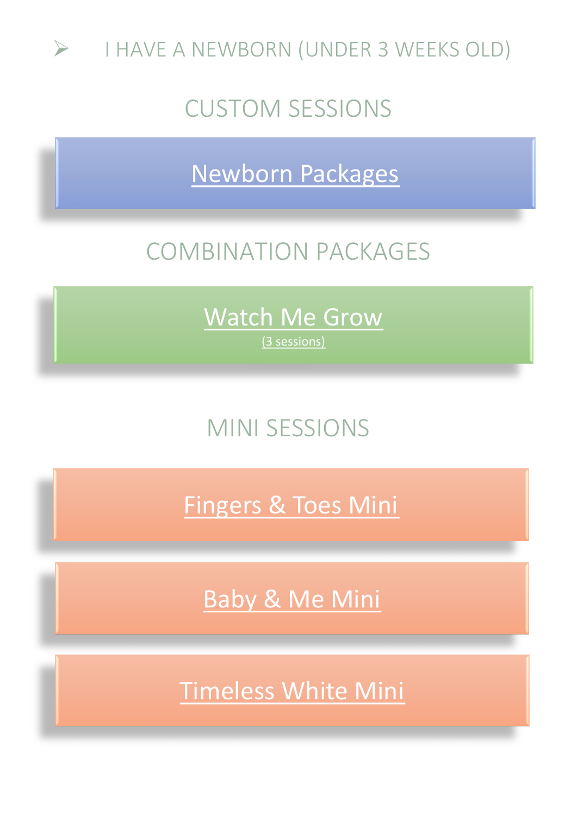<span id="page-2-0"></span>

[Newborn Packages](https://sarahleephotography.co.uk/newborn-sessions.php)

## COMBINATION PACKAGES

[Watch Me Grow](https://sarahleephotography.co.uk/babys-first-year.php) [\(3 sessions\)](https://sarahleephotography.co.uk/babys-first-year.php)

# MINI SESSIONS

[Fingers & Toes Mini](https://sarahleephotography.co.uk/fingers-and-toes-mini.php)

[Baby & Me Mini](https://sarahleephotography.co.uk/baby-and-me-mini.php)

[Timeless White Mini](https://sarahleephotography.co.uk/timeless-white-mini.php)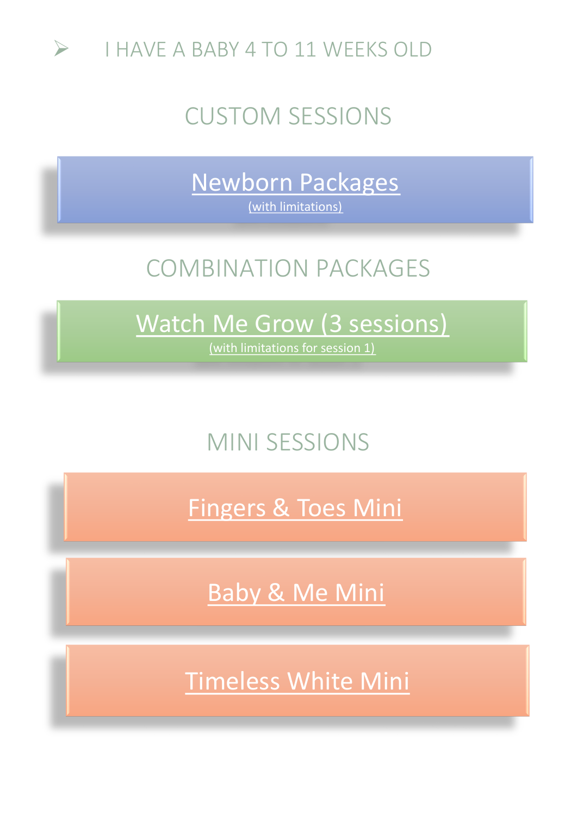<span id="page-3-0"></span>

[Newborn Packages](https://sarahleephotography.co.uk/newborn-sessions.php)  [\(with limitations\)](https://sarahleephotography.co.uk/newborn-sessions.php)

## COMBINATION PACKAGES

# [Watch Me Grow \(3 sessions\)](https://sarahleephotography.co.uk/babys-first-year.php)

[\(with limitations for session 1\)](https://sarahleephotography.co.uk/babys-first-year.php)

## MINI SESSIONS

[Fingers & Toes Mini](https://sarahleephotography.co.uk/fingers-and-toes-mini.php)

[Baby & Me Mini](https://sarahleephotography.co.uk/baby-and-me-mini.php)

[Timeless White Mini](https://sarahleephotography.co.uk/timeless-white-mini.php)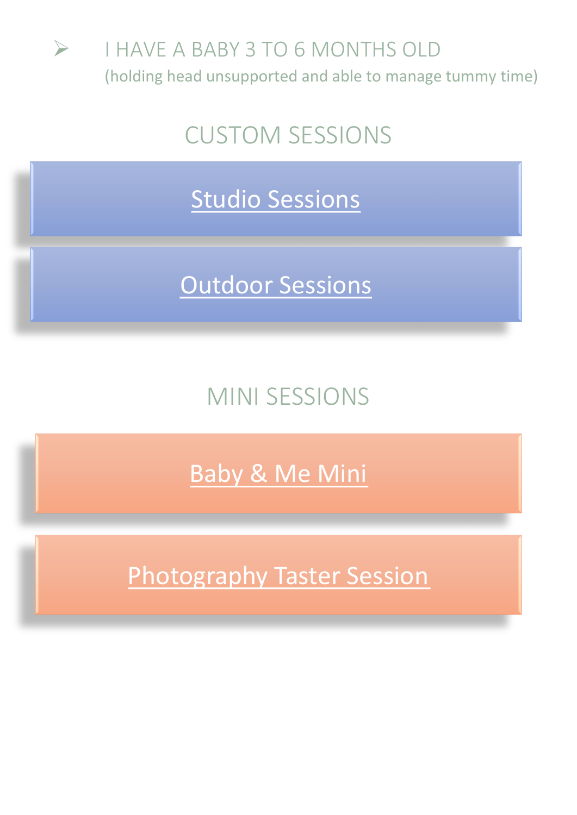<span id="page-4-0"></span>

[Studio Sessions](https://sarahleephotography.co.uk/studio-sessions.php)

[Outdoor Sessions](https://sarahleephotography.co.uk/outdoor-sessions.php)

MINI SESSIONS

[Baby & Me Mini](https://sarahleephotography.co.uk/baby-and-me-mini.php)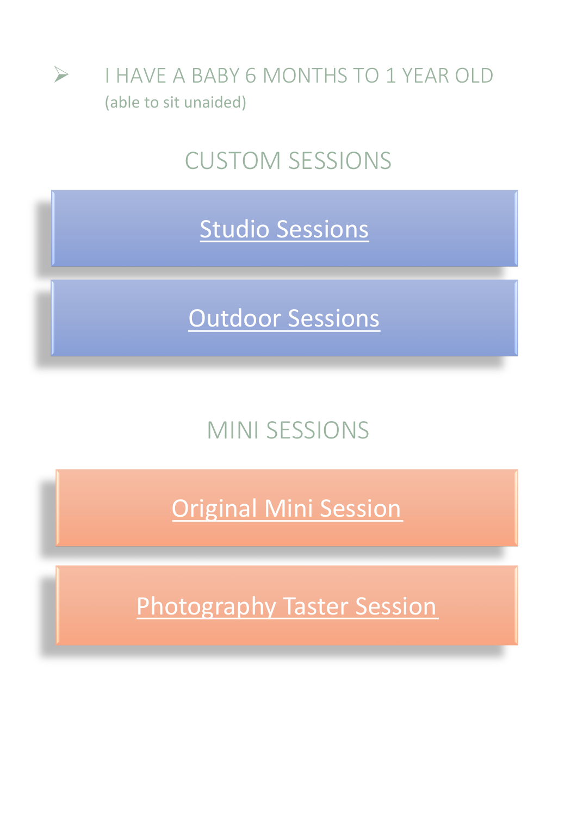<span id="page-5-0"></span>

[Studio Sessions](https://sarahleephotography.co.uk/studio-sessions.php)

[Outdoor Sessions](https://sarahleephotography.co.uk/outdoor-sessions.php)

## MINI SESSIONS

Original [Mini Session](https://sarahleephotography.co.uk/monday-minis.php)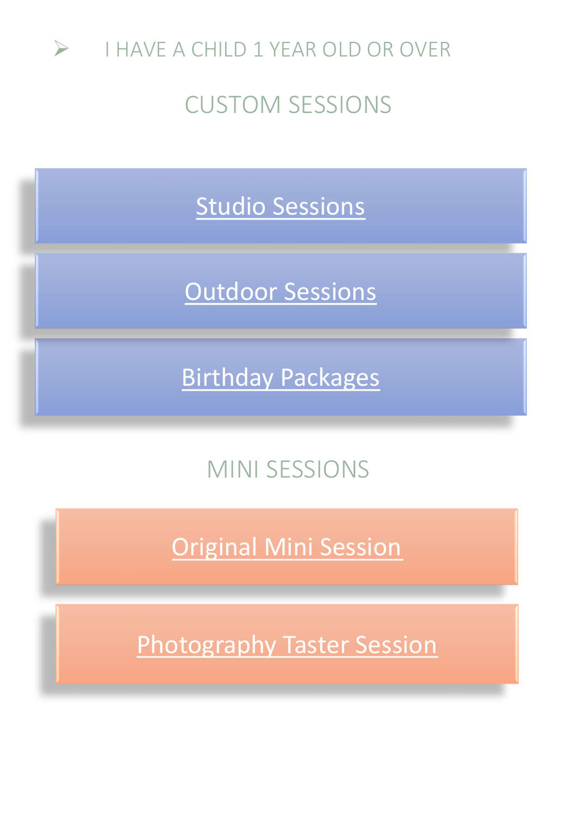<span id="page-6-0"></span>

[Studio Sessions](https://sarahleephotography.co.uk/studio-sessions.php)

[Outdoor Sessions](https://sarahleephotography.co.uk/outdoor-sessions.php)

[Birthday Packages](https://sarahleephotography.co.uk/birthday-packages.php)

# MINI SESSIONS

Original [Mini Session](https://sarahleephotography.co.uk/monday-minis.php)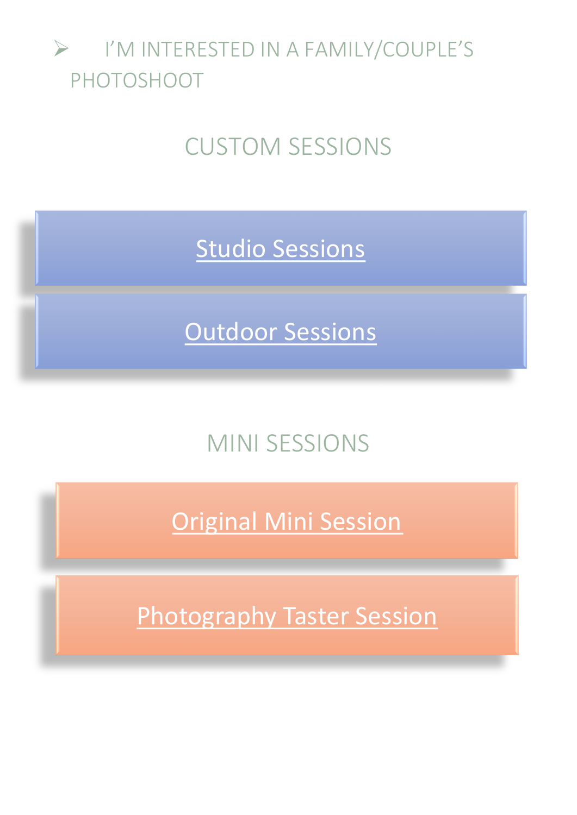## <span id="page-7-0"></span>➢ I'M INTERESTED IN A FAMILY/COUPLE'S PHOTOSHOOT

# CUSTOM SESSIONS

[Studio Sessions](https://sarahleephotography.co.uk/studio-sessions.php)

[Outdoor Sessions](https://sarahleephotography.co.uk/outdoor-sessions.php)

## MINI SESSIONS

Original [Mini Session](https://sarahleephotography.co.uk/monday-minis.php)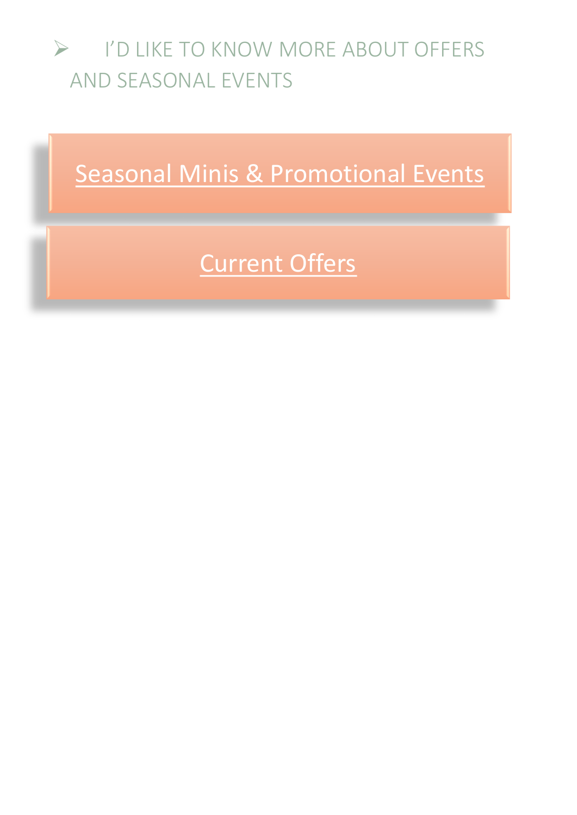#### <span id="page-8-0"></span>➢ I'D LIKE TO KNOW MORE ABOUT OFFERS AND SEASONAL EVENTS

[Seasonal Minis & Promotional Events](https://sarahleephotography.co.uk/seasonal-sessions.php)

# [Current Offers](https://sarahleephotography.co.uk/offers.php)